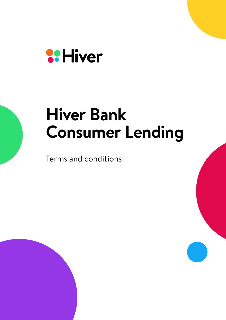

# **Hiver Bank Consumer Lending**

Terms and conditions

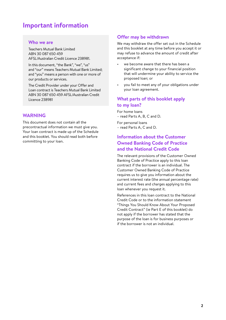# **Important information**

#### **Who we are**

Teachers Mutual Bank Limited ABN 30 087 650 459 AFSL/Australian Credit Licence 238981.

In this document, "the Bank", "we", "us" and "our" means Teachers Mutual Bank Limited; and "you" means a person with one or more of our products or services.

The Credit Provider under your Offer and Loan contract is Teachers Mutual Bank Limited ABN 30 087 650 459 AFSL/Australian Credit Licence 238981

## **WARNING**

This document does not contain all the precontractual information we must give you. Your loan contract is made up of the Schedule and this booklet. You should read both before committing to your loan.

## **Offer may be withdrawn**

We may withdraw the offer set out in the Schedule and this booklet at any time before you accept it or may refuse to advance the amount of credit after acceptance if:

- we become aware that there has been a significant change to your financial position that will undermine your ability to service the proposed loan; or
- you fail to meet any of your obligations under your loan agreement.

## **What parts of this booklet apply to my loan?**

For home loans – read Parts A, B, C and D.

For personal loans – read Parts A, C and D.

# **Information about the Customer Owned Banking Code of Practice and the National Credit Code**

The relevant provisions of the Customer Owned Banking Code of Practice apply to this loan contract if the borrower is an individual. The Customer Owned Banking Code of Practice requires us to give you information about the current interest rate (the annual percentage rate) and current fees and charges applying to this loan whenever you request it.

References in this loan contract to the National Credit Code or to the information statement "Things You Should Know About Your Proposed Credit Contract" (ie Part E of this booklet) do not apply if the borrower has stated that the purpose of the loan is for business purposes or if the borrower is not an individual.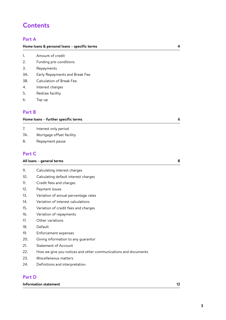# **Contents**

## **Part A**

#### **Home loans & personal loans – specific terms 4**

- 1. Amount of credit
- 2. Funding pre-conditions
- 3. Repayments
- 3A. Early Repayments and Break Fee
- 3B. Calculation of Break Fee
- 4. Interest charges
- 5. Redraw facility
- 6. Top-up

## **Part B**

| Home loans - further specific terms |                      |  |
|-------------------------------------|----------------------|--|
|                                     | Interest only period |  |

- 7A. Mortgage offset facility
- 8. Repayment pause

## **Part C**

# **All loans – general terms 8**

- 9. Calculating interest charges
- 10. Calculating default interest charges
- 11. Credit fees and charges
- 12. Payment issues
- 13. Variation of annual percentage rates
- 14. Variation of interest calculations
- 15. Variation of credit fees and charges
- 16. Variation of repayments
- 17. Other variations
- 18. Default
- 19. Enforcement expenses
- 20. Giving information to any guarantor
- 21. Statement of Account
- 22. How we give you notices and other communications and documents
- 23. Miscellaneous matters
- 24. Definitions and interpretation

# **Part D**

#### **Information statement 12**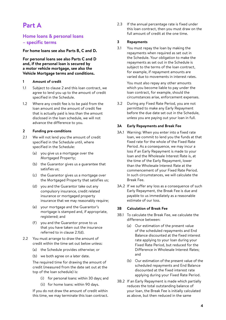# **Part A**

## **Home loans & personal loans – specific terms**

#### **For home loans see also Parts B, C and D.**

**For personal loans see also Parts C and D and, if the personal loan is secured by a motor vehicle mortgage, see also the Vehicle Mortgage terms and conditions.**

#### **1 Amount of credit**

- 1.1 Subject to clause 2 and this loan contract, we agree to lend you up to the amount of credit specified in the Schedule.
- 1.2 Where any credit fee is to be paid from the loan amount and the amount of credit fee that is actually paid is less than the amount disclosed in the loan schedule, we will not advance the difference to you.

#### **2 Funding pre-conditions**

- 2.1 We will not lend you the amount of credit specified in the Schedule until, where specified in the Schedule:
	- (a) you give us a mortgage over the Mortgaged Property;
	- (b) the Guarantor gives us a guarantee that satisfies us;
	- (c) the Guarantor gives us a mortgage over the Mortgaged Property that satisfies us;
	- (d) you and the Guarantor take out any compulsory insurance, credit related insurance or mortgaged property insurance that we may reasonably require;
	- (e) your mortgage and the Guarantor's mortgage is stamped and, if appropriate, registered; and
	- (f) you and the Guarantor prove to us that you have taken out the insurance referred to in clause 2.1(d).
- 2.2 You must arrange to draw the amount of credit within the time set out below unless:
	- (a) the Schedule provides otherwise; or
	- (b) we both agree on a later date.

The required time for drawing the amount of credit (measured from the date set out at the top of the loan schedule) is:

- (i) for personal loans: within 30 days; and
- (ii) for home loans: within 90 days.

If you do not draw the amount of credit within this time, we may terminate this loan contract. 2.3 If the annual percentage rate is fixed under this loan contract, then you must draw on the full amount of credit at the one time.

#### **3 Repayments**

3.1 You must repay the loan by making the repayments when required as set out in the Schedule. Your obligation to make the repayments as set out in the Schedule is subject to the terms of the loan contract, for example, if repayment amounts are varied due to movements in interest rates.

> You must also repay any other amounts which you become liable to pay under the loan contract, for example, should the circumstances arise, enforcement expenses.

3.2 During any Fixed Rate Period, you are not permitted to make any Early Repayment before the due date set out in the Schedule, unless you are paying out your loan in full.

#### **3A Early Repayments and Break Fee**

- 3A.1 Warning: When you enter into a fixed rate loan, we commit to lend you the funds at that fixed rate for the whole of the Fixed Rate Period. As a consequence, we may incur a loss if an Early Repayment is made to your loan and the Wholesale Interest Rate is, at the time of the Early Repayment, lower than the Wholesale Interest Rate at the commencement of your Fixed Rate Period. In such circumstances, we will calculate the Break Fee.
- 3A.2 If we suffer any loss as a consequence of such Early Repayment, the Break Fee is due and payable to us immediately as a reasonable estimate of our loss.

#### **3B Calculation of Break Fee**

- 3B.1 To calculate the Break Fee, we calculate the difference between:
	- (a) Our estimation of the present value of the scheduled repayments and End Balance discounted at the fixed interest rate applying to your loan during your Fixed Rate Period, but reduced for the Difference in Wholesale Interest Rates; and
	- (b) Our estimation of the present value of the scheduled repayments and End Balance discounted at the fixed interest rate applying during your Fixed Rate Period.
- 3B.2 If an Early Repayment is made which partially reduces the total outstanding balance of your loan, the Break Fee is initially calculated as above, but then reduced in the same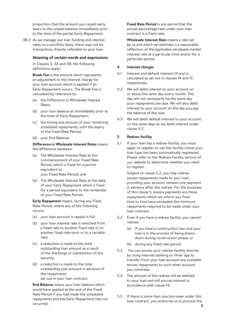proportion that the amount you repaid early bears to the unpaid balance immediately prior to the time of the partial Early Repayment.

3B.3 As we manage our loan funding and interest rates on a portfolio basis, there may not be transactions directly referable to your loan.

#### **Meaning of certain words and expressions**

In Clauses 3, 3A and 3B, the following definitions apply:

**Break Fee** is the amount which represents an adjustment to the interest charge for your loan account which is applied if an Early Repayment occurs. The Break Fee is calculated by reference to:

- (a) the Difference in Wholesale Interest Rates;
- (b) your loan balance at immediately prior to the time of Early Repayment;
- (c) the timing and amount of your remaining scheduled repayments, until the expiry of the Fixed Rate Period;
- (d) your End Balance.

**Difference in Wholesale Interest Rates** means the difference between:

- (a) The Wholesale Interest Rate at the commencement of your Fixed Rate Period, which is fixed for a period equivalent to your Fixed Rate Period; and
- (b) The Wholesale Interest Rate at the date of your Early Repayment which is fixed for a period equivalent to the remainder of your Fixed Rate Period.

**Early Repayment** means, during any Fixed Rate Period, where any of the following occurs:

- (a) your loan account is repaid in full;
- (b) your loan interest rate is switched from a fixed rate to another fixed rate or to another fixed rate term or to a variable rate;
- (c) a reduction is made to the total outstanding loan amount as a result of the discharge or substitution of any security;
- (d) a reduction is made to the total outstanding loan amount in advance of the repayments set out in your loan contract.

**End Balance** means your loan balance which would have applied at the end of the Fixed Rate Period if you had made the scheduled repayments and the Early Repayment had not occurred.

**Fixed Rate Period** is any period that the annual percentage rate under your loan contract is a fixed rate.

**Wholesale Interest Rate** means a rate set by us and which we estimate is a reasonable reflection of the applicable wholesale market interest rate at a particular time and/or for a particular period.

#### **4 Interest charges**

- 4.1 Interest and default interest (if any) is calculated as set out in clauses 14 and 15 respectively.
- 4.2 We will debit interest to your account on or about the same day every month. This day will not necessarily be the same day your repayments are due. We will also debit interest to your account on the day you pay the balance of the loan.
- 4.3 We will debit default interest to your account on the same days as we debit interest under clause 4.2.

#### **5 Redraw facility**

5.1 If your loan has a redraw facility, you must apply to register to use the facility unless your loan type has been automatically registered. Please refer to the Redraw Facility section of our website to determine whether you need to register.

> Subject to clause 5.2, you may redraw excess repayments made to your loan, providing your account remains one payment in advance after the redraw. For the purposes of this clause 5, excess payments are those repayments which we inform you from time to time have exceeded the minimum repayments required to be made under your loan contract.

- 5.2 Even if you have a redraw facility, you cannot redraw:
	- (a) If you have a construction loan and your loan is in the process of being drawndown during construction phase; or
	- (b) during any fixed rate period.
- 5.3 You can access your redraw facility directly by using internet banking or Hiver app to transfer from your loan account any available excess repayments to such other account you nominate.
- 5.4 The amount of the redraw will be debited to your loan and will accrue interest in accordance with clause 14.
- 5.5 If there is more than one borrower under this loan contract, you authorise us to process the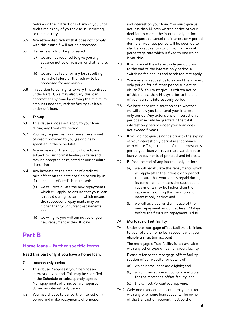redraw on the instructions of any of you until such time as any of you advise us, in writing, to the contrary.

- 5.6 Any attempted redraw that does not comply with this clause 5 will not be processed.
- 5.7 If a redraw fails to be processed:
	- (a) we are not required to give you any advance notice or reason for that failure; and
	- (b) we are not liable for any loss resulting from the failure of the redraw to be processed for any reason.
- 5.8 In addition to our rights to vary this contract under Part D, we may also vary this loan contract at any time by varying the minimum amount under any redraw facility available under this loan.

#### **6 Top-up**

- 6.1 This clause 6 does not apply to your loan during any fixed rate period.
- 6.2 You may request us to increase the amount of credit provided to you (as originally specified in the Schedule).
- 6.3 Any increase to the amount of credit are subject to our normal lending criteria and may be accepted or rejected at our absolute discretion.
- 6.4 Any increase to the amount of credit will take effect on the date notified to you by us. If the amount of credit is increased:
	- (a) we will recalculate the new repayments which will apply, to ensure that your loan is repaid during its term – which means the subsequent repayments may be higher than your current repayments; and
	- (b) we will give you written notice of your new repayment within 30 days.

# **Part B**

## **Home loans – further specific terms**

#### **Read this part only if you have a home loan.**

#### **7 Interest only period**

- 7.1 This clause 7 applies if your loan has an interest only period. This may be specified in the Schedule or subsequently agreed. No repayments of principal are required during an interest only period.
- 7.2 You may choose to cancel the interest only period and make repayments of principal

and interest on your loan. You must give us not less than 14 days written notice of your decision to cancel the interest only period. Any request to cancel the interest only period during a fixed rate period will be deemed to also be a request to switch from an annual percentage rate which is fixed to one which is variable.

- 7.3 If you cancel the interest only period prior to the end of the interest only period, a switching fee applies and break fee may apply.
- 7.4 You may also request us to extend the interest only period for a further period subject to clause 7.5. You must give us written notice of this no less than 14 days prior to the end of your current interest only period.
- 7.5 We have absolute discretion as to whether we will allow you to extend your interest only period. Any extensions of interest only periods may only be granted if the total interest only period under your loan does not exceed 5 years.
- 7.6 If you do not give us notice prior to the expiry of your interest only period in accordance with clause 7.4, at the end of the interest only period your loan will revert to a variable rate loan with payments of principal and interest.
- 7.7 Before the end of any interest only period:
	- (a) we will recalculate the repayments which will apply after the interest only period to ensure that your loan is repaid during its term – which means the subsequent repayments may be higher than the repayments during the then current interest only period; and
	- (b) we will give you written notice of the new repayment amount at least 20 days before the first such repayment is due.

#### **7A Mortgage offset facility**

7A.1 Under the mortgage offset facility, it is linked to your eligible home loan account with your eligible transaction account.

> The mortgage offset facility is not available with any other type of loan or credit facility.

Please refer to the mortgage offset facility section of our website for details of:

- (a) which home loans are eligible; and
- (b) which transaction accounts are eligible for the mortgage offset facility; and
- (c) the Offset Percentage applying.
- 7A.2 Only one transaction account may be linked with any one home loan account. The owner of the transaction account must be the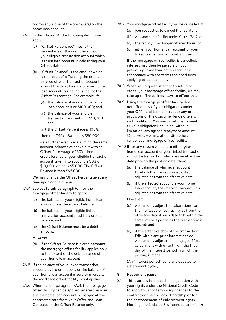borrower (or one of the borrowers) on the home loan account.

- 7A.3 In this Clause 7A, the following definitions apply:
	- (a) "Offset Percentage" means the percentage of the credit balance of your eligible transaction account which is taken into account in calculating your Offset Balance.
	- (b) "Offset Balance" is the amount which is the result of offsetting the credit balance of your transaction account against the debit balance of your home loan account, taking into account the Offset Percentage. For example, if:
		- (i) the balance of your eligible home loan account is dr \$100,000; and
		- (ii) the balance of your eligible transaction account is cr \$10,000; and
		- (iii) the Offset Percentage is 100%,

then the Offset Balance is \$90,000.

As a further example, assuming the same account balances as above but with an Offset Percentage of 50%, then the credit balance of your eligible transaction account taken into account is 50% of \$10,000, which is \$5,000. The Offset Balance is then \$95,000.

We may change the Offset Percentage at any time upon notice to you.

- 7A.4 Subject to sub-paragraph (d), for the mortgage offset facility to apply:
	- (a) the balance of your eligible home loan account must be a debit balance;
	- (b) the balance of your eligible linked transaction account must be a credit balance; and
	- (c) the Offset Balance must be a debit amount.

However:

- (d) if the Offset Balance is a credit amount, the mortgage offset facility applies only to the extent of the debit balance of your home loan account.
- 7A.5 If the balance of your linked transaction account is zero or in debit; or the balance of your home loan account is zero or in credit, the mortgage offset facility is not applied.
- 7A.6 Where, under paragraph 7A.4, the mortgage offset facility can be applied, interest on your eligible home loan account is charged at the contracted rate from your Offer and Loan Contract on the Offset Balance only.
- 7A.7 Your mortgage offset facility will be cancelled if:
	- (a) you request us to cancel the facility; or
	- (b) we cancel the facility under Clause 7A.9; or
	- (c) the facility is no longer offered by us; or
	- (d) either your home loan account or your linked transaction account is closed.

If the mortgage offset facility is cancelled, interest may then be payable on your previously linked transaction account in accordance with the terms and conditions applying to that account.

- 7A.8 When you request us either to set up or cancel your mortgage offset facility, we may take up to five business days to effect this.
- 7A.9 Using the mortgage offset facility does not affect any of your obligations under your Offer and Loan contract or any other provisions of the Consumer lending terms and conditions. You must continue to meet all your obligations including, without limitation, any agreed repayment amount. Otherwise, we may, at our discretion, cancel your mortgage offset facility.
- 7A.10 If for any reason we post to either your home loan account or your linked transaction account a transaction which has an effective date prior to the posting date, then:
	- (a) the balance of whichever account to which the transaction is posted is adjusted as from the effective date;
	- (b) if the affected account is your home loan account, the interest charged is also adjusted as from the effective date;

However:

- (c) we can only adjust the calculations for the mortgage offset facility as from the effective date if such date falls within the same interest period as the transaction is posted; and
- (d) if the effective date of the transaction falls within any prior interest period, we can only adjust the mortgage offset calculations with effect from the first day of the interest period in which the posting is made.

(An "interest period" generally equates to a statement cycle.)

#### **8 Repayment pause**

**7** Nothing in this clause 8 is intended to limit 8.1 This clause is to be read in conjunction with your rights under the National Credit Code to apply to us for temporary changes to the contract on the grounds of hardship or for the postponement of enforcement rights.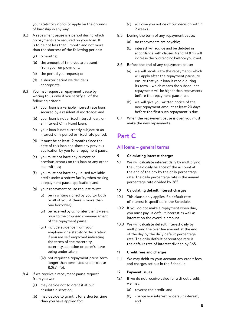your statutory rights to apply on the grounds of hardship in any way.

- 8.2 A repayment pause is a period during which no payments are required on your loan. It is to be not less than 1 month and not more than the shortest of the following periods:
	- (a) 6 months;
	- (b) the amount of time you are absent from your employment;
	- (c) the period you request; or
	- (d) a shorter period we decide is appropriate.
- 8.3 You may request a repayment pause by writing to us only if you satisfy all of the following criteria:
	- (a) your loan is a variable interest rate loan secured by a residential mortgage; and
	- (b) your loan is not a fixed interest loan, or an Interest Only Fixed Loan;
	- (c) your loan is not currently subject to an interest only period or fixed rate period;
	- (d) it must be at least 12 months since the date of this loan and since any previous application by you for a repayment pause;
	- (e) you must not have any current or previous arrears on this loan or any other loan with us;
	- (f) you must not have any unused available credit under a redraw facility when making a repayment pause application; and
	- (g) your repayment pause request must:
		- (i) be in writing signed by you (or both or all of you, if there is more than one borrower);
		- (ii) be received by us no later than 3 weeks prior to the proposed commencement of the repayment pause;
		- (iii) include evidence from your employer or a statutory declaration if you are self employed indicating the terms of the maternity, paternity, adoption or carer's leave being undertaken;
		- (iv) not request a repayment pause term longer than permitted under clause  $8.2(a)–(b)$ .
- 8.4 If we receive a repayment pause request from you we:
	- (a) may decide not to grant it at our absolute discretion;
	- (b) may decide to grant it for a shorter time than you have applied for;
- (c) will give you notice of our decision within 2 weeks.
- 8.5 During the term of any repayment pause:
	- (a) no repayments are payable;
	- (b) interest will accrue and be debited in accordance with clauses 4 and 14 (this will increase the outstanding balance you owe).
- 8.6 Before the end of any repayment pause:
	- (a) we will recalculate the repayments which will apply after the repayment pause, to ensure that your loan is repaid during its term – which means the subsequent repayments will be higher than repayments before the repayment pause; and
	- (b) we will give you written notice of the new repayment amount at least 20 days before the first such repayment is due.
- 8.7 When the repayment pause is over, you must make the new repayments.

# **Part C**

## **All loans – general terms**

#### **9 Calculating interest charges**

9.1 We will calculate interest daily by multiplying the unpaid daily balance of the account at the end of the day by the daily percentage rate. The daily percentage rate is the annual percentage rate divided by 365.

#### **10 Calculating default interest charges**

- 10.1 This clause only applies if a default rate of interest is specified in the Schedule.
- 10.2 If you do not make a repayment when due, you must pay us default interest as well as interest on the overdue amount.
- 10.3 We will calculate default interest daily by multiplying the overdue amount at the end of the day by the daily default percentage rate. The daily default percentage rate is the default rate of interest divided by 365.

#### **11 Credit fees and charges**

11.1 We may debit to your account any credit fees and charges set out in the Schedule

#### **12 Payment issues**

- 12.1 If we do not receive value for a direct credit, we may:
	- (a) reverse the credit; and
	- (b) charge you interest or default interest; and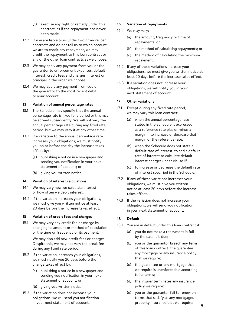- (c) exercise any right or remedy under this contract, as if the repayment had never been made.
- 12.2 If you are liable to us under two or more loan contracts and do not tell us to which account we are to credit any repayment, we may credit the repayment to this loan contract or any of the other loan contracts as we choose.
- 12.3 We may apply any payment from you or the guarantor to enforcement expenses, default interest, credit fees and charges, interest or principal in the order we choose.
- 12.4 We may apply any payment from you or the guarantor to the most recent debit to your account.

#### **13 Variation of annual percentage rates**

- 13.1 The Schedule may specify that the annual percentage rate is fixed for a period or this may be agreed subsequently. We will not vary the annual percentage rate during any fixed rate period, but we may vary it at any other time.
- 13.2 If a variation to the annual percentage rate increases your obligations, we must notify you on or before the day the increase takes effect by:
	- (a) publishing a notice in a newspaper and sending you notification in your next statement of account; or
	- (b) giving you written notice.

#### **14 Variation of interest calculations**

- 14.1 We may vary how we calculate interest or how often we debit interest.
- 14.2 If the variation increases your obligations, we must give you written notice at least 20 days before the increase takes effect.

#### **15 Variation of credit fees and charges**

15.1 We may vary any credit fee or charge by changing its amount or method of calculation or the time or frequency of its payment.

> We may also add new credit fees or charges. Despite this, we may not vary the break fee during any fixed rate period.

- 15.2 If the variation increases your obligations, we must notify you 20 days before the change takes effect by:
	- (a) publishing a notice in a newspaper and sending you notification in your next statement of account; or
	- (b) giving you written notice.
- 15.3 If the variation does not increase your obligations, we will send you notification in your next statement of account.

#### **16 Variation of repayments**

- 16.1 We may vary:
	- (a) the amount, frequency or time of repayments; or
	- (b) the method of calculating repayments; or
	- (c) the method of calculating the minimum repayment.
- 16.2 If any of these variations increase your obligations, we must give you written notice at least 20 days before the increase takes effect.
- 16.3 If a variation does not increase your obligations, we will notify you in your next statement of account.

#### **17 Other variations**

- 17.1 Except during any fixed rate period, we may vary this loan contract:
	- (a) when the annual percentage rate stated in the Schedule is expressed as a reference rate plus or minus a margin – to increase or decrease that margin or the reference rate;
	- (b) when the Schedule does not state a default rate of interest, to add a default rate of interest to calculate default interest charges under clause 15;
	- (c) to increase or decrease the default rate of interest specified in the Schedule;
- 17.2 If any of these variations increases your obligations, we must give you written notice at least 20 days before the increase takes effect.
- 17.3 If the variation does not increase your obligations, we will send you notification in your next statement of account.

#### **18 Default**

- 18.1 You are in default under this loan contract if:
	- (a) you do not make a repayment in full by the date it is due;
	- (b) you or the guarantor breach any term of this loan contract, the guarantee, any mortgage or any insurance policy that we require;
	- (c) the guarantee or any mortgage that we require is unenforceable according to its terms;
	- (d) the insurer terminates any insurance policy we require;
	- (e) you or the guarantor fail to renew on terms that satisfy us any mortgaged property insurance that we require;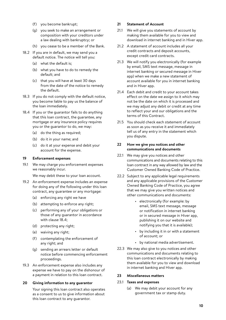- (f) you become bankrupt;
- (g) you seek to make an arrangement or composition with your creditors under a law dealing with bankruptcy; or
- (h) you cease to be a member of the Bank.
- 18.2 If you are in default, we may send you a default notice. The notice will tell you:
	- (a) what the default is;
	- (b) what you have to do to remedy the default; and
	- (c) that you will have at least 30 days from the date of the notice to remedy the default.
- 18.3 If you do not comply with the default notice, you become liable to pay us the balance of the loan immediately.
- 18.4 If you or the guarantor fails to do anything that this loan contract, the guarantee, any mortgage or any insurance policy requires you or the guarantor to do, we may:
	- (a) do the thing as required;
	- (b) do it in your name; and
	- (c) do it at your expense and debit your account for the expense.

#### **19 Enforcement expenses**

19.1 We may charge you enforcement expenses we reasonably incur.

We may debit these to your loan account.

- 19.2 An enforcement expense includes an expense for doing any of the following under this loan contract, any guarantee or any mortgage:
	- (a) enforcing any right we have
	- (b) attempting to enforce any right;
	- (c) performing any of your obligations or those of any guarantor in accordance with clause 18.4;
	- (d) protecting any right;
	- (e) waiving any right;
	- (f) contemplating the enforcement of any right; and
	- (g) sending an arrears letter or default notice before commencing enforcement proceedings.
- 19.3 An enforcement expense also includes any expense we have to pay on the dishonour of a payment in relation to this loan contract.

#### **20 Giving information to any guarantor**

Your signing this loan contract also operates as a consent to us to give information about this loan contract to any guarantor.

#### **21 Statement of Account**

- 21.1 We will give you statements of account by making them available for you to view and download in internet banking and in Hiver app.
- 21.2 A statement of account includes all your credit contracts and deposit accounts, except credit card contracts.
- 21.3 We will notify you electronically (for example by email, SMS text message, message in internet banking or secured message in Hiver app) when we make a new statement of account available for you in internet banking and in Hiver app.
- 21.4 Each debit and credit to your account takes effect on the date we assign to it which may not be the date on which it is processed and we may adjust any debit or credit at any time to reflect your and our obligations and the terms of this Contract.
- 21.5 You should check each statement of account as soon as you receive it and immediately tell us of any entry in the statement which you dispute.

#### **22 How we give you notices and other communications and documents**

- 22.1 We may give you notices and other communications and documents relating to this loan contract in any way allowed by law and the Customer Owned Banking Code of Practice.
- 22.2 Subject to any applicable legal requirements and any applicable provisions of the Customer Owned Banking Code of Practice, you agree that we may give you written notices and other communications and documents:
	- electronically (for example: by email, SMS text message, message or notification in internet banking or in secured message in Hiver app, publishing it on our website and notifying you that it is available);
	- by including it in or with a statement of account; or
	- by national media advertisement.
- 22.3 We may also give to you notices and other communications and documents relating to this loan contract electronically by making them available for you to view and download in internet banking and Hiver app.

#### **23 Miscellaneous matters**

#### 23.1 **Taxes and expenses**

(a) We may debit your account for any government tax or stamp duty.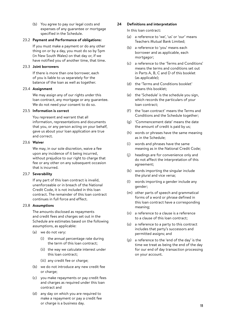(b) You agree to pay our legal costs and expenses of any guarantee or mortgage specified in the Schedule.

#### 23.2 **Payment and Performance of obligations:**

If you must make a payment or do any other thing on or by a day, you must do so by 5pm (in New South Wales) on that day or, if we have notified you of another time, that time.

#### 23.3 **Joint borrowers**

If there is more than one borrower, each of you is liable to us separately for the balance of the loan as well as together.

#### 23.4 **Assignment**

We may assign any of our rights under this loan contract, any mortgage or any guarantee. We do not need your consent to do so.

#### 23.5 **Information is correct**

You represent and warrant that all information, representations and documents that you, or any person acting on your behalf, gave us about your loan application are true and correct.

#### 23.6 **Waiver**

We may, in our sole discretion, waive a fee upon any incidence of it being incurred, without prejudice to our right to charge that fee or any other on any subsequent occasion that is incurred.

#### 23.7 **Severability**

If any part of this loan contract is invalid, unenforceable or in breach of the National Credit Code, it is not included in this loan contract. The remainder of this loan contract continues in full force and effect.

#### 23.8 **Assumptions**

The amounts disclosed as repayments and credit fees and charges set out in the Schedule are estimates based on the following assumptions, as applicable:

- (a) we do not vary:
	- (i) the annual percentage rate during the term of this loan contract;
	- (ii) the way we calculate interest under this loan contract;
	- (iii) any credit fee or charge;
- (b) we do not introduce any new credit fee or charge;
- (c) you make repayments or pay credit fees and charges as required under this loan contract and
- (d) any day on which you are required to make a repayment or pay a credit fee or charge is a business day.

#### **24 Definitions and interpretation**

In this loan contract:

- (a) a reference to 'we', 'us' or 'our' means Teachers Mutual Bank Limited;
- (b) a reference to 'you' means each borrower and as applicable, each mortgagor;
- (c) a reference to the 'Terms and Conditions' means the terms and conditions set out in Parts A, B, C and D of this booklet (as applicable);
- (d) the 'Terms and Conditions booklet' means this booklet;
- (e) the 'Schedule' is the schedule you sign, which records the particulars of your loan contract;
- (f) the 'loan contract' means the Terms and Conditions and the Schedule together;
- (g) 'Commencement date' means the date the amount of credit is paid by us;
- (h) words or phrases have the same meaning as in the Schedule;
- (i) words and phrases have the same meaning as in the National Credit Code;
- (j) headings are for convenience only and do not affect the interpretation of this agreement;
- (k) words importing the singular include the plural and vice versa;
- (l) words importing a gender include any gender;
- (m) other parts of speech and grammatical forms of a word or phrase defined in this loan contract have a corresponding meaning;
- (n) a reference to a clause is a reference to a clause of this loan contract;
- (o) a reference to a party to this contract includes that party's successors and permitted assigns; and
- (p) a reference to the 'end of the day' is the time we treat as being the end of the day for our end of day transaction processing on your account.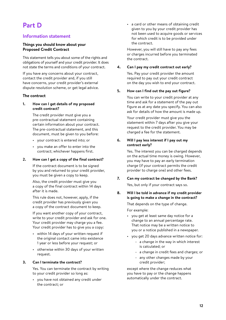# **Part D**

## **Information statement**

#### **Things you should know about your Proposed Credit Contract**

This statement tells you about some of the rights and obligations of yourself and your credit provider. It does not state the terms and conditions of your contract.

If you have any concerns about your contract, contact the credit provider and, if you still have concerns, your credit provider's external dispute resolution scheme, or get legal advice.

#### **The contract**

**1. How can I get details of my proposed credit contract?**

> The credit provider must give you a pre-contractual statement containing certain information about your contract. The pre-contractual statement, and this document, must be given to you before:

- your contract is entered into; or
- you make an offer to enter into the contract; whichever happens first.

#### **2. How can I get a copy of the final contract?**

If the contract document is to be signed by you and returned to your credit provider, you must be given a copy to keep.

Also, the credit provider must give you a copy of the final contract within 14 days after it is made.

This rule does not, however, apply, if the credit provider has previously given you a copy of the contract document to keep.

If you want another copy of your contract, write to your credit provider and ask for one. Your credit provider may charge you a fee. Your credit provider has to give you a copy:

- within 14 days of your written request if the original contact came into existence 1 year or less before your request; or
- otherwise within 30 days of your written request.

#### **3. Can I terminate the contract?**

Yes. You can terminate the contract by writing to your credit provider so long as:

• you have not obtained any credit under the contract; or

• a card or other means of obtaining credit given to you by your credit provider has not been used to acquire goods or services for which credit is to be provided under the contract.

However, you will still have to pay any fees or charges incurred before you terminated the contract.

#### **4. Can I pay my credit contract out early?**

Yes. Pay your credit provider the amount required to pay out your credit contract on the day you wish to end your contract.

#### **5. How can I find out the pay out figure?**

You can write to your credit provider at any time and ask for a statement of the pay out figure as at any date you specify. You can also ask for details of how the amount is made up.

Your credit provider must give you the statement within 7 days after you give your request to the credit provider. You may be charged a fee for the statement.

#### **6. Will I pay less interest if I pay out my contract early?**

Yes. The interest you can be charged depends on the actual time money is owing. However, you may have to pay an early termination charge (if your contract permits the credit provider to charge one) and other fees.

#### **7. Can my contract be changed by the Bank?**

Yes, but only if your contract says so.

#### **8. Will I be told in advance if my credit provider is going to make a change in the contract?**

That depends on the type of change.

For example:

- you get at least same day notice for a change to an annual percentage rate. That notice may be a written notice to you or a notice published in a newspaper.
- you get 20 days advance written notice for:
	- a change in the way in which interest is calculated; or
	- a change in credit fees and charges; or
	- any other changes made by your credit provider;

except where the change reduces what you have to pay or the change happens automatically under the contract.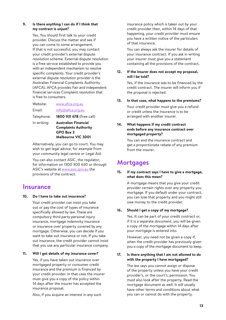#### **9. Is there anything I can do if I think that my contract is unjust?**

Yes. You should first talk to your credit provider. Discuss the matter and see if you can come to some arrangement. If that is not successful, you may contact your credit provider's external dispute resolution scheme. External dispute resolution is a free service established to provide you with an independent mechanism to resolve specific complaints. Your credit provider's external dispute resolution provider is the Australian Financial Complaints Authority (AFCA). AFCA provides Fair and independent financial services Complaint resolution that is free to consumers.

Website: www.afca.org.au Email: info@afca.org.au Telephone: **1800 931 678** (free call) In writing: **Australian Financial Complaints Authority GPO Box 3 Melbourne VIC 3001**

Alternatively, you can go to court. You may wish to get legal advice, for example from your community legal centre or Legal Aid.

You can also contact ASIC, the regulator, for information on 1300 300 630 or through ASIC's website at www.asic.gov.au the provisions of the contract.

# **Insurance**

**10. Do I have to take out insurance?**

Your credit provider can insist you take out or pay the cost of types of insurance specifically allowed by law. These are compulsory third party personal injury insurance, mortgage indemnity insurance or insurance over property covered by any mortgage. Otherwise, you can decide if you want to take out insurance or not. If you take out insurance, the credit provider cannot insist that you use any particular insurance company.

#### **11. Will I get details of my insurance cover?**

Yes, if you have taken out insurance over mortgaged property or consumer credit insurance and the premium is financed by your credit provider. In that case the insurer must give you a copy of the policy within 14 days after the insurer has accepted the insurance proposal.

Also, if you acquire an interest in any such

insurance policy which is taken out by your credit provider then, within 14 days of that happening, your credit provider must ensure you have a written notice of the particulars of that insurance.

You can always ask the insurer for details of your insurance contract. If you ask in writing your insurer must give you a statement containing all the provisions of the contract.

#### **12. If the insurer does not accept my proposal, will I be told?**

Yes, if the insurance was to be financed by the credit contract. The insurer will inform you if the proposal is rejected.

#### **13. In that case, what happens to the premiums?**

Your credit provider must give you a refund or credit unless the insurance is to be arranged with another insurer.

#### **14. What happens if my credit contract ends before any insurance contract over mortgaged property?**

You can end the insurance contract and get a proportionate rebate of any premium from the insurer.

# **Mortgages**

#### **15. If my contract says I have to give a mortgage, what does this mean?**

A mortgage means that you give your credit provider certain rights over any property you mortgage. If you default under your contract, you can lose that property and you might still owe money to the credit provider.

#### **16. Should I get a copy of my mortgage?**

Yes. It can be part of your credit contract or, if it is a separate document, you will be given a copy of the mortgage within 14 days after your mortgage is entered into.

However, you need not be given a copy if, when the credit provider has previously given you a copy of the mortgage document to keep.

#### **17. Is there anything that I am not allowed to do with the property I have mortgaged?**

The law says you cannot assign or dispose of the property unless you have your credit provider's, or the court's, permission. You must also look after the property. Read the mortgage document as well. It will usually have other terms and conditions about what you can or cannot do with the property.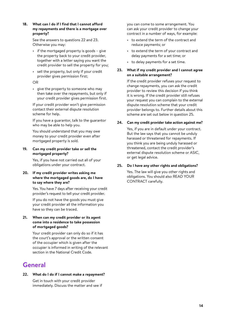#### **18. What can I do if I find that I cannot afford my repayments and there is a mortgage over property?**

See the answers to questions 22 and 23. Otherwise you may:

- if the mortgaged property is goods give the property back to your credit provider, together with a letter saying you want the credit provider to sell the property for you;
- sell the property, but only if your credit provider gives permission first;

#### OR

• give the property to someone who may then take over the repayments, but only if your credit provider gives permission first.

If your credit provider won't give permission contact their external dispute resolution scheme for help.

If you have a guarantor, talk to the guarantor who may be able to help you.

You should understand that you may owe money to your credit provider even after mortgaged property is sold.

#### **19. Can my credit provider take or sell the mortgaged property?**

Yes, if you have not carried out all of your obligations under your contract.

#### **20. If my credit provider writes asking me where the mortgaged goods are, do I have to say where they are?**

Yes. You have 7 days after receiving your credit provider's request to tell your credit provider.

If you do not have the goods you must give your credit provider all the information you have so they can be traced.

#### **21. When can my credit provider or its agent come into a residence to take possession of mortgaged goods?**

Your credit provider can only do so if it has the court's approval or the written consent of the occupier which is given after the occupier is informed in writing of the relevant section in the National Credit Code.

# **General**

#### **22. What do I do if I cannot make a repayment?**

Get in touch with your credit provider immediately. Discuss the matter and see if you can come to some arrangement. You can ask your credit provider to change your contract in a number of ways, for example:

- to extend the term of the contract and reduce payments; or
- to extend the term of your contract and delay payments for a set time; or
- to delay payments for a set time.
- **23. What if my credit provider and I cannot agree on a suitable arrangement?**

If the credit provider refuses your request to change repayments, you can ask the credit provider to review this decision if you think it is wrong. If the credit provider still refuses your request you can complain to the external dispute resolution scheme that your credit provider belongs to. Further details about this scheme are set out below in question 25.

#### **24. Can my credit provider take action against me?**

Yes, if you are in default under your contract. But the law says that you cannot be unduly harassed or threatened for repayments. If you think you are being unduly harassed or threatened, contact the credit provider's external dispute resolution scheme or ASIC, or get legal advice.

#### **25. Do I have any other rights and obligations?**

Yes. The law will give you other rights and obligations. You should also READ YOUR CONTRACT carefully.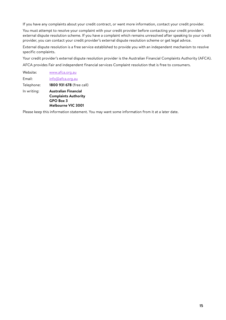If you have any complaints about your credit contract, or want more information, contact your credit provider.

You must attempt to resolve your complaint with your credit provider before contacting your credit provider's external dispute resolution scheme. If you have a complaint which remains unresolved after speaking to your credit provider, you can contact your credit provider's external dispute resolution scheme or get legal advice.

External dispute resolution is a free service established to provide you with an independent mechanism to resolve specific complaints.

Your credit provider's external dispute resolution provider is the Australian Financial Complaints Authority (AFCA).

AFCA provides Fair and independent financial services Complaint resolution that is free to consumers.

| In writing: | Australian Financial<br><b>Complaints Authority</b><br>GPO Box 3 |
|-------------|------------------------------------------------------------------|
| Telephone:  | 1800 931 678 (free call)                                         |
| Fmail:      | info@afca.org.au                                                 |
| Website:    | www.afca.org.au                                                  |

**Melbourne VIC 3001**

Please keep this information statement. You may want some information from it at a later date.